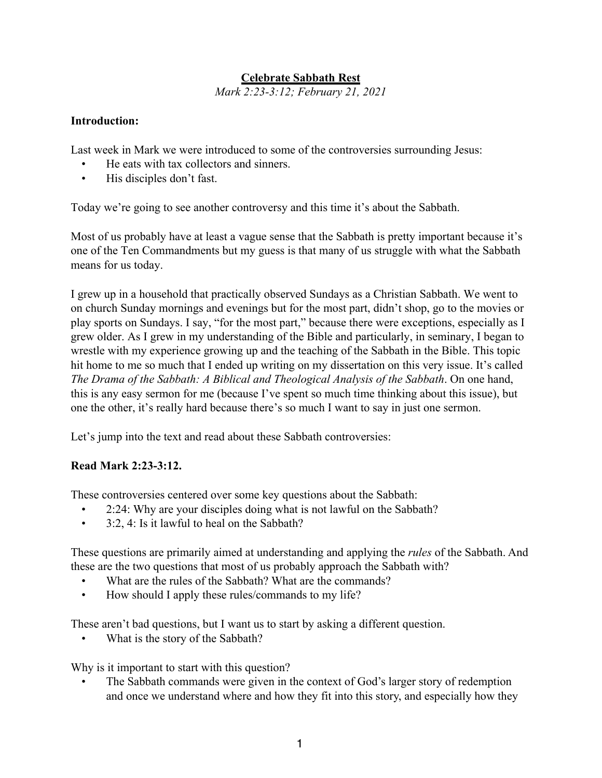## **Celebrate Sabbath Rest**

*Mark 2:23-3:12; February 21, 2021*

#### **Introduction:**

Last week in Mark we were introduced to some of the controversies surrounding Jesus:

- He eats with tax collectors and sinners.
- His disciples don't fast.

Today we're going to see another controversy and this time it's about the Sabbath.

Most of us probably have at least a vague sense that the Sabbath is pretty important because it's one of the Ten Commandments but my guess is that many of us struggle with what the Sabbath means for us today.

I grew up in a household that practically observed Sundays as a Christian Sabbath. We went to on church Sunday mornings and evenings but for the most part, didn't shop, go to the movies or play sports on Sundays. I say, "for the most part," because there were exceptions, especially as I grew older. As I grew in my understanding of the Bible and particularly, in seminary, I began to wrestle with my experience growing up and the teaching of the Sabbath in the Bible. This topic hit home to me so much that I ended up writing on my dissertation on this very issue. It's called *The Drama of the Sabbath: A Biblical and Theological Analysis of the Sabbath*. On one hand, this is any easy sermon for me (because I've spent so much time thinking about this issue), but one the other, it's really hard because there's so much I want to say in just one sermon.

Let's jump into the text and read about these Sabbath controversies:

#### **Read Mark 2:23-3:12.**

These controversies centered over some key questions about the Sabbath:

- 2:24: Why are your disciples doing what is not lawful on the Sabbath?
- 3:2, 4: Is it lawful to heal on the Sabbath?

These questions are primarily aimed at understanding and applying the *rules* of the Sabbath. And these are the two questions that most of us probably approach the Sabbath with?

- What are the rules of the Sabbath? What are the commands?
- How should I apply these rules/commands to my life?

These aren't bad questions, but I want us to start by asking a different question.

• What is the story of the Sabbath?

Why is it important to start with this question?

• The Sabbath commands were given in the context of God's larger story of redemption and once we understand where and how they fit into this story, and especially how they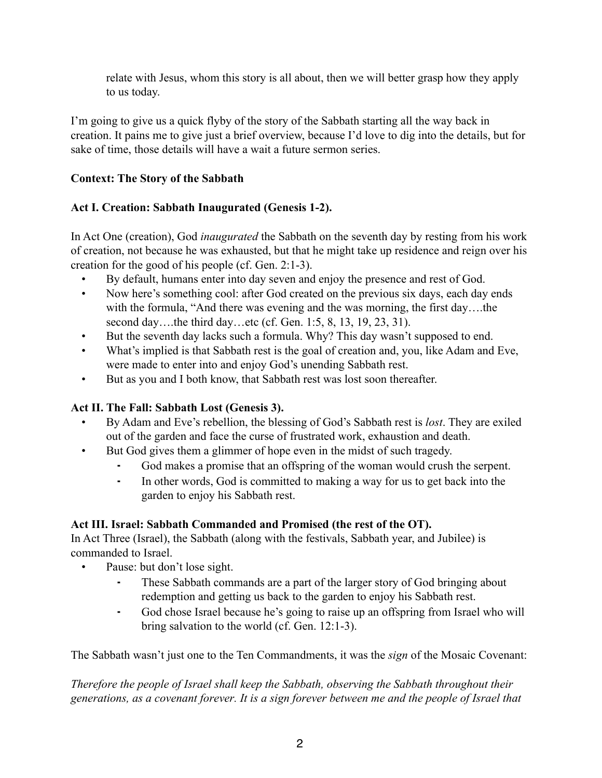relate with Jesus, whom this story is all about, then we will better grasp how they apply to us today.

I'm going to give us a quick flyby of the story of the Sabbath starting all the way back in creation. It pains me to give just a brief overview, because I'd love to dig into the details, but for sake of time, those details will have a wait a future sermon series.

## **Context: The Story of the Sabbath**

# **Act I. Creation: Sabbath Inaugurated (Genesis 1-2).**

In Act One (creation), God *inaugurated* the Sabbath on the seventh day by resting from his work of creation, not because he was exhausted, but that he might take up residence and reign over his creation for the good of his people (cf. Gen. 2:1-3).

- By default, humans enter into day seven and enjoy the presence and rest of God.
- Now here's something cool: after God created on the previous six days, each day ends with the formula, "And there was evening and the was morning, the first day...the second day...the third day...etc (cf. Gen. 1:5, 8, 13, 19, 23, 31).
- But the seventh day lacks such a formula. Why? This day wasn't supposed to end.
- What's implied is that Sabbath rest is the goal of creation and, you, like Adam and Eve, were made to enter into and enjoy God's unending Sabbath rest.
- But as you and I both know, that Sabbath rest was lost soon thereafter.

# **Act II. The Fall: Sabbath Lost (Genesis 3).**

- By Adam and Eve's rebellion, the blessing of God's Sabbath rest is *lost*. They are exiled out of the garden and face the curse of frustrated work, exhaustion and death.
- But God gives them a glimmer of hope even in the midst of such tragedy.
	- God makes a promise that an offspring of the woman would crush the serpent.
	- ⁃ In other words, God is committed to making a way for us to get back into the garden to enjoy his Sabbath rest.

# **Act III. Israel: Sabbath Commanded and Promised (the rest of the OT).**

In Act Three (Israel), the Sabbath (along with the festivals, Sabbath year, and Jubilee) is commanded to Israel.

- Pause: but don't lose sight.
	- These Sabbath commands are a part of the larger story of God bringing about redemption and getting us back to the garden to enjoy his Sabbath rest.
	- God chose Israel because he's going to raise up an offspring from Israel who will bring salvation to the world (cf. Gen. 12:1-3).

The Sabbath wasn't just one to the Ten Commandments, it was the *sign* of the Mosaic Covenant:

*Therefore the people of Israel shall keep the Sabbath, observing the Sabbath throughout their generations, as a covenant forever. It is a sign forever between me and the people of Israel that*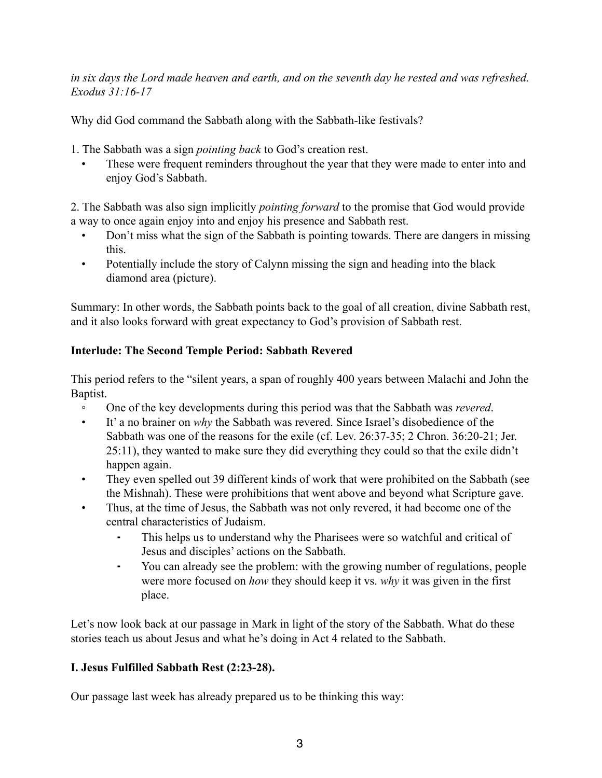*in six days the Lord made heaven and earth, and on the seventh day he rested and was refreshed. Exodus 31:16-17*

Why did God command the Sabbath along with the Sabbath-like festivals?

1. The Sabbath was a sign *pointing back* to God's creation rest.

These were frequent reminders throughout the year that they were made to enter into and enjoy God's Sabbath.

2. The Sabbath was also sign implicitly *pointing forward* to the promise that God would provide a way to once again enjoy into and enjoy his presence and Sabbath rest.

- Don't miss what the sign of the Sabbath is pointing towards. There are dangers in missing this.
- Potentially include the story of Calynn missing the sign and heading into the black diamond area (picture).

Summary: In other words, the Sabbath points back to the goal of all creation, divine Sabbath rest, and it also looks forward with great expectancy to God's provision of Sabbath rest.

### **Interlude: The Second Temple Period: Sabbath Revered**

This period refers to the "silent years, a span of roughly 400 years between Malachi and John the Baptist.

- One of the key developments during this period was that the Sabbath was *revered*.
- It' a no brainer on *why* the Sabbath was revered. Since Israel's disobedience of the Sabbath was one of the reasons for the exile (cf. Lev. 26:37-35; 2 Chron. 36:20-21; Jer. 25:11), they wanted to make sure they did everything they could so that the exile didn't happen again.
- They even spelled out 39 different kinds of work that were prohibited on the Sabbath (see the Mishnah). These were prohibitions that went above and beyond what Scripture gave.
- Thus, at the time of Jesus, the Sabbath was not only revered, it had become one of the central characteristics of Judaism.
	- This helps us to understand why the Pharisees were so watchful and critical of Jesus and disciples' actions on the Sabbath.
	- ⁃ You can already see the problem: with the growing number of regulations, people were more focused on *how* they should keep it vs. *why* it was given in the first place.

Let's now look back at our passage in Mark in light of the story of the Sabbath. What do these stories teach us about Jesus and what he's doing in Act 4 related to the Sabbath.

## **I. Jesus Fulfilled Sabbath Rest (2:23-28).**

Our passage last week has already prepared us to be thinking this way: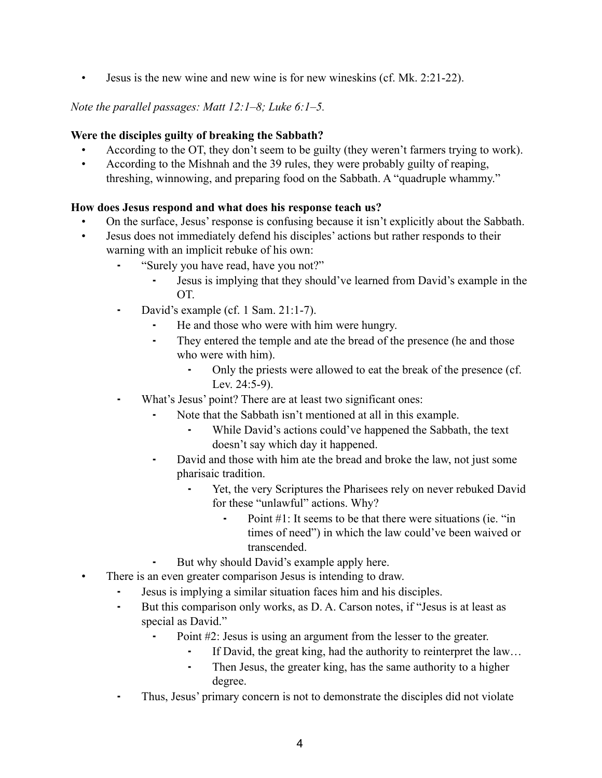• Jesus is the new wine and new wine is for new wineskins (cf. Mk. 2:21-22).

*Note the parallel passages: Matt 12:1–8; Luke 6:1–5.*

### **Were the disciples guilty of breaking the Sabbath?**

- According to the OT, they don't seem to be guilty (they weren't farmers trying to work).
- According to the Mishnah and the 39 rules, they were probably guilty of reaping, threshing, winnowing, and preparing food on the Sabbath. A "quadruple whammy."

### **How does Jesus respond and what does his response teach us?**

- On the surface, Jesus' response is confusing because it isn't explicitly about the Sabbath.
- Jesus does not immediately defend his disciples' actions but rather responds to their warning with an implicit rebuke of his own:
	- ⁃ "Surely you have read, have you not?"
		- ⁃ Jesus is implying that they should've learned from David's example in the OT.
	- David's example (cf. 1 Sam. 21:1-7).
		- ⁃ He and those who were with him were hungry.
		- ⁃ They entered the temple and ate the bread of the presence (he and those who were with him).
			- ⁃ Only the priests were allowed to eat the break of the presence (cf. Lev. 24:5-9).
	- What's Jesus' point? There are at least two significant ones:
		- Note that the Sabbath isn't mentioned at all in this example.
			- While David's actions could've happened the Sabbath, the text doesn't say which day it happened.
		- David and those with him ate the bread and broke the law, not just some pharisaic tradition.
			- ⁃ Yet, the very Scriptures the Pharisees rely on never rebuked David for these "unlawful" actions. Why?
				- Point  $#1$ : It seems to be that there were situations (ie. "in times of need") in which the law could've been waived or transcended.
		- But why should David's example apply here.
- There is an even greater comparison Jesus is intending to draw.
	- Jesus is implying a similar situation faces him and his disciples.
	- But this comparison only works, as D. A. Carson notes, if "Jesus is at least as special as David."
		- Point #2: Jesus is using an argument from the lesser to the greater.
			- If David, the great king, had the authority to reinterpret the law...
			- ⁃ Then Jesus, the greater king, has the same authority to a higher degree.
	- ⁃ Thus, Jesus' primary concern is not to demonstrate the disciples did not violate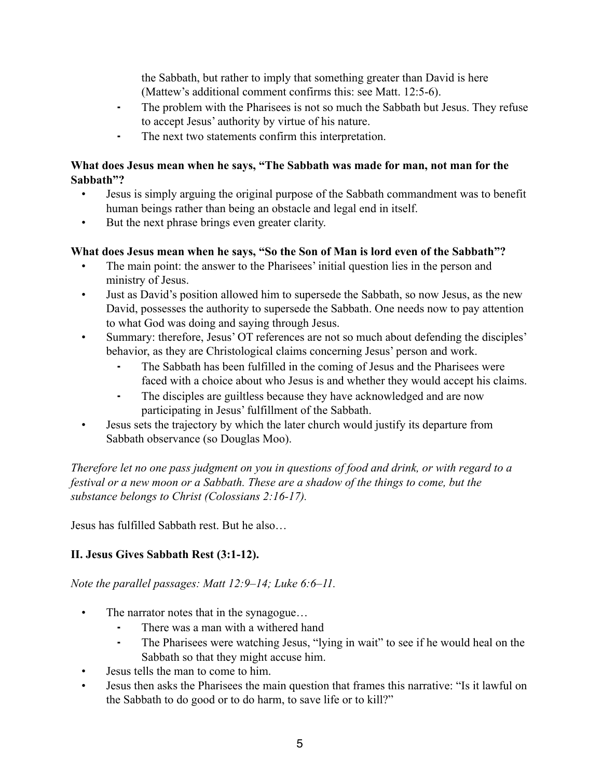the Sabbath, but rather to imply that something greater than David is here (Mattew's additional comment confirms this: see Matt. 12:5-6).

- The problem with the Pharisees is not so much the Sabbath but Jesus. They refuse to accept Jesus' authority by virtue of his nature.
- ⁃ The next two statements confirm this interpretation.

#### **What does Jesus mean when he says, "The Sabbath was made for man, not man for the Sabbath"?**

- Jesus is simply arguing the original purpose of the Sabbath commandment was to benefit human beings rather than being an obstacle and legal end in itself.
- But the next phrase brings even greater clarity.

### **What does Jesus mean when he says, "So the Son of Man is lord even of the Sabbath"?**

- The main point: the answer to the Pharisees' initial question lies in the person and ministry of Jesus.
- Just as David's position allowed him to supersede the Sabbath, so now Jesus, as the new David, possesses the authority to supersede the Sabbath. One needs now to pay attention to what God was doing and saying through Jesus.
- Summary: therefore, Jesus' OT references are not so much about defending the disciples' behavior, as they are Christological claims concerning Jesus' person and work.
	- The Sabbath has been fulfilled in the coming of Jesus and the Pharisees were faced with a choice about who Jesus is and whether they would accept his claims.
	- ⁃ The disciples are guiltless because they have acknowledged and are now participating in Jesus' fulfillment of the Sabbath.
- Jesus sets the trajectory by which the later church would justify its departure from Sabbath observance (so Douglas Moo).

*Therefore let no one pass judgment on you in questions of food and drink, or with regard to a festival or a new moon or a Sabbath. These are a shadow of the things to come, but the substance belongs to Christ (Colossians 2:16-17).*

Jesus has fulfilled Sabbath rest. But he also…

## **II. Jesus Gives Sabbath Rest (3:1-12).**

*Note the parallel passages: Matt 12:9–14; Luke 6:6–11.*

- The narrator notes that in the synagogue...
	- There was a man with a withered hand
	- The Pharisees were watching Jesus, "lying in wait" to see if he would heal on the Sabbath so that they might accuse him.
- Jesus tells the man to come to him.
- Jesus then asks the Pharisees the main question that frames this narrative: "Is it lawful on the Sabbath to do good or to do harm, to save life or to kill?"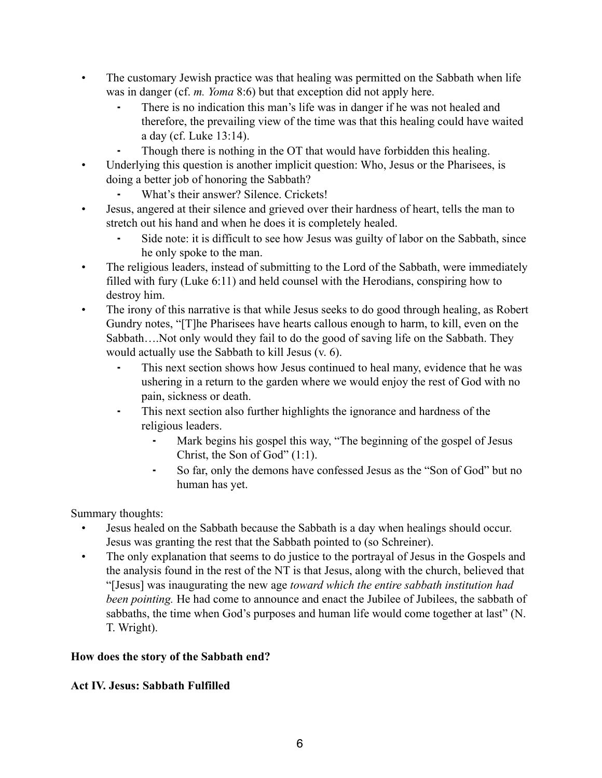- The customary Jewish practice was that healing was permitted on the Sabbath when life was in danger (cf. *m. Yoma* 8:6) but that exception did not apply here.
	- ⁃ There is no indication this man's life was in danger if he was not healed and therefore, the prevailing view of the time was that this healing could have waited a day (cf. Luke 13:14).
	- Though there is nothing in the OT that would have forbidden this healing.
- Underlying this question is another implicit question: Who, Jesus or the Pharisees, is doing a better job of honoring the Sabbath?
	- ⁃ What's their answer? Silence. Crickets!
- Jesus, angered at their silence and grieved over their hardness of heart, tells the man to stretch out his hand and when he does it is completely healed.
	- Side note: it is difficult to see how Jesus was guilty of labor on the Sabbath, since he only spoke to the man.
- The religious leaders, instead of submitting to the Lord of the Sabbath, were immediately filled with fury (Luke 6:11) and held counsel with the Herodians, conspiring how to destroy him.
- The irony of this narrative is that while Jesus seeks to do good through healing, as Robert Gundry notes, "[T]he Pharisees have hearts callous enough to harm, to kill, even on the Sabbath….Not only would they fail to do the good of saving life on the Sabbath. They would actually use the Sabbath to kill Jesus (v. 6).
	- This next section shows how Jesus continued to heal many, evidence that he was ushering in a return to the garden where we would enjoy the rest of God with no pain, sickness or death.
	- ⁃ This next section also further highlights the ignorance and hardness of the religious leaders.
		- Mark begins his gospel this way, "The beginning of the gospel of Jesus Christ, the Son of God" (1:1).
		- So far, only the demons have confessed Jesus as the "Son of God" but no human has yet.

Summary thoughts:

- Jesus healed on the Sabbath because the Sabbath is a day when healings should occur. Jesus was granting the rest that the Sabbath pointed to (so Schreiner).
- The only explanation that seems to do justice to the portrayal of Jesus in the Gospels and the analysis found in the rest of the NT is that Jesus, along with the church, believed that "[Jesus] was inaugurating the new age *toward which the entire sabbath institution had been pointing.* He had come to announce and enact the Jubilee of Jubilees, the sabbath of sabbaths, the time when God's purposes and human life would come together at last" (N. T. Wright).

# **How does the story of the Sabbath end?**

## **Act IV. Jesus: Sabbath Fulfilled**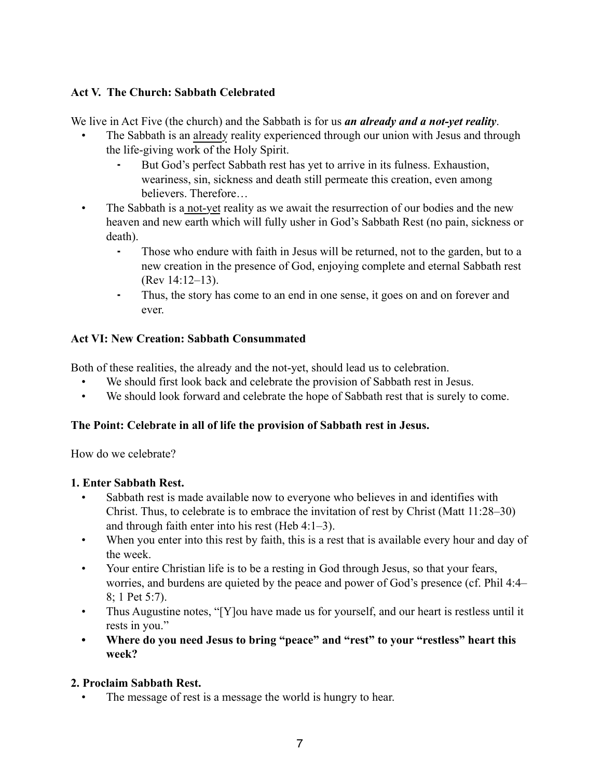## **Act V. The Church: Sabbath Celebrated**

We live in Act Five (the church) and the Sabbath is for us *an already and a not-yet reality*.

- The Sabbath is an already reality experienced through our union with Jesus and through the life-giving work of the Holy Spirit.
	- But God's perfect Sabbath rest has yet to arrive in its fulness. Exhaustion, weariness, sin, sickness and death still permeate this creation, even among believers. Therefore…
- The Sabbath is a not-yet reality as we await the resurrection of our bodies and the new heaven and new earth which will fully usher in God's Sabbath Rest (no pain, sickness or death).
	- ⁃ Those who endure with faith in Jesus will be returned, not to the garden, but to a new creation in the presence of God, enjoying complete and eternal Sabbath rest (Rev 14:12–13).
	- ⁃ Thus, the story has come to an end in one sense, it goes on and on forever and ever.

## **Act VI: New Creation: Sabbath Consummated**

Both of these realities, the already and the not-yet, should lead us to celebration.

- We should first look back and celebrate the provision of Sabbath rest in Jesus.
- We should look forward and celebrate the hope of Sabbath rest that is surely to come.

## **The Point: Celebrate in all of life the provision of Sabbath rest in Jesus.**

How do we celebrate?

## **1. Enter Sabbath Rest.**

- Sabbath rest is made available now to everyone who believes in and identifies with Christ. Thus, to celebrate is to embrace the invitation of rest by Christ (Matt 11:28–30) and through faith enter into his rest (Heb 4:1–3).
- When you enter into this rest by faith, this is a rest that is available every hour and day of the week.
- Your entire Christian life is to be a resting in God through Jesus, so that your fears, worries, and burdens are quieted by the peace and power of God's presence (cf. Phil 4:4– 8; 1 Pet 5:7).
- Thus Augustine notes, "[Y]ou have made us for yourself, and our heart is restless until it rests in you."
- **Where do you need Jesus to bring "peace" and "rest" to your "restless" heart this week?**

## **2. Proclaim Sabbath Rest.**

The message of rest is a message the world is hungry to hear.